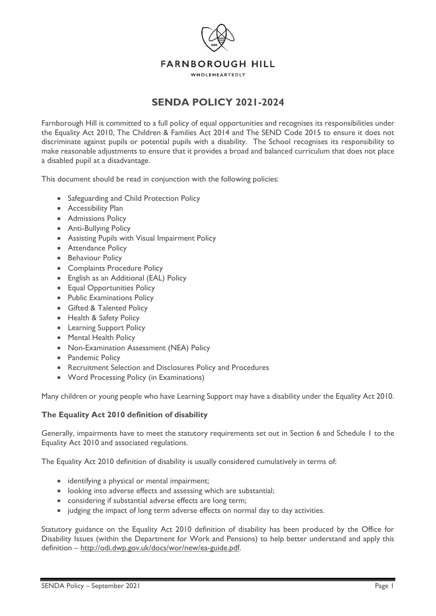

# **SENDA POLICY 2021-2024**

Farnborough Hill is committed to a full policy of equal opportunities and recognises its responsibilities under the Equality Act 2010, The Children & Families Act 2014 and The SEND Code 2015 to ensure it does not discriminate against pupils or potential pupils with a disability. The School recognises its responsibility to make reasonable adjustments to ensure that it provides a broad and balanced curriculum that does not place a disabled pupil at a disadvantage.

This document should be read in conjunction with the following policies:

- Safeguarding and Child Protection Policy
- Accessibility Plan
- Admissions Policy
- Anti-Bullying Policy
- Assisting Pupils with Visual Impairment Policy
- Attendance Policy
- Behaviour Policy
- Complaints Procedure Policy
- English as an Additional (EAL) Policy
- Equal Opportunities Policy
- Public Examinations Policy
- Gifted & Talented Policy
- Health & Safety Policy
- Learning Support Policy
- Mental Health Policy
- Non-Examination Assessment (NEA) Policy
- Pandemic Policy
- Recruitment Selection and Disclosures Policy and Procedures
- Word Processing Policy (in Examinations)

Many children or young people who have Learning Support may have a disability under the Equality Act 2010.

# **The Equality Act 2010 definition of disability**

Generally, impairments have to meet the statutory requirements set out in Section 6 and Schedule 1 to the Equality Act 2010 and associated regulations.

The Equality Act 2010 definition of disability is usually considered cumulatively in terms of:

- identifying a physical or mental impairment;
- looking into adverse effects and assessing which are substantial;
- considering if substantial adverse effects are long term;
- judging the impact of long term adverse effects on normal day to day activities.

Statutory guidance on the Equality Act 2010 definition of disability has been produced by the Office for Disability Issues (within the Department for Work and Pensions) to help better understand and apply this definition – [http://odi.dwp.gov.uk/docs/wor/new/ea-guide.pdf.](http://odi.dwp.gov.uk/docs/wor/new/ea-guide.pdf)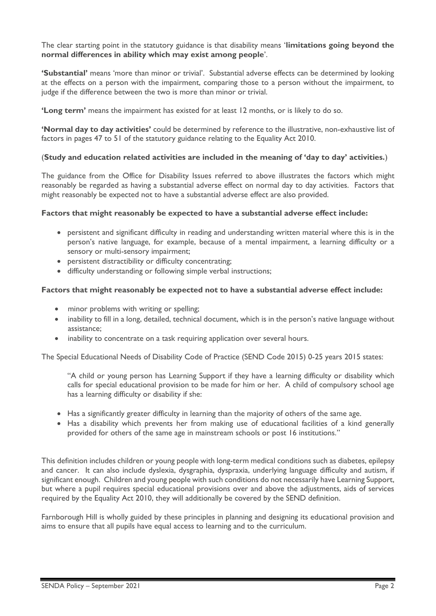The clear starting point in the statutory guidance is that disability means '**limitations going beyond the normal differences in ability which may exist among people**'.

**'Substantial'** means 'more than minor or trivial'. Substantial adverse effects can be determined by looking at the effects on a person with the impairment, comparing those to a person without the impairment, to judge if the difference between the two is more than minor or trivial.

**'Long term'** means the impairment has existed for at least 12 months, or is likely to do so.

**'Normal day to day activities'** could be determined by reference to the illustrative, non-exhaustive list of factors in pages 47 to 51 of the statutory guidance relating to the Equality Act 2010.

#### (**Study and education related activities are included in the meaning of 'day to day' activities.**)

The guidance from the Office for Disability Issues referred to above illustrates the factors which might reasonably be regarded as having a substantial adverse effect on normal day to day activities. Factors that might reasonably be expected not to have a substantial adverse effect are also provided.

#### **Factors that might reasonably be expected to have a substantial adverse effect include:**

- persistent and significant difficulty in reading and understanding written material where this is in the person's native language, for example, because of a mental impairment, a learning difficulty or a sensory or multi-sensory impairment;
- persistent distractibility or difficulty concentrating;
- difficulty understanding or following simple verbal instructions;

#### **Factors that might reasonably be expected not to have a substantial adverse effect include:**

- minor problems with writing or spelling;
- inability to fill in a long, detailed, technical document, which is in the person's native language without assistance;
- inability to concentrate on a task requiring application over several hours.

The Special Educational Needs of Disability Code of Practice (SEND Code 2015) 0-25 years 2015 states:

"A child or young person has Learning Support if they have a learning difficulty or disability which calls for special educational provision to be made for him or her. A child of compulsory school age has a learning difficulty or disability if she:

- Has a significantly greater difficulty in learning than the majority of others of the same age.
- Has a disability which prevents her from making use of educational facilities of a kind generally provided for others of the same age in mainstream schools or post 16 institutions."

This definition includes children or young people with long-term medical conditions such as diabetes, epilepsy and cancer. It can also include dyslexia, dysgraphia, dyspraxia, underlying language difficulty and autism, if significant enough. Children and young people with such conditions do not necessarily have Learning Support, but where a pupil requires special educational provisions over and above the adjustments, aids of services required by the Equality Act 2010, they will additionally be covered by the SEND definition.

Farnborough Hill is wholly guided by these principles in planning and designing its educational provision and aims to ensure that all pupils have equal access to learning and to the curriculum.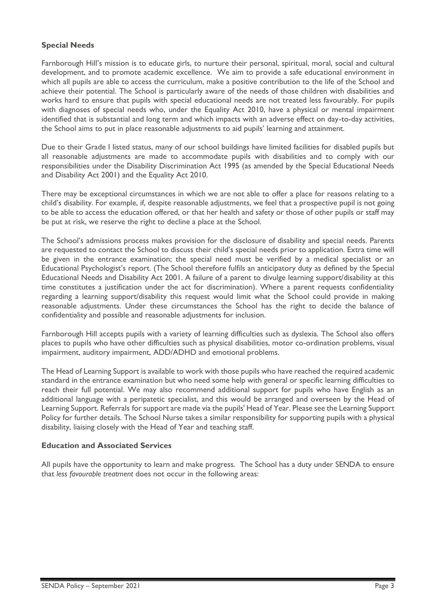# **Special Needs**

Farnborough Hill's mission is to educate girls, to nurture their personal, spiritual, moral, social and cultural development, and to promote academic excellence. We aim to provide a safe educational environment in which all pupils are able to access the curriculum, make a positive contribution to the life of the School and achieve their potential. The School is particularly aware of the needs of those children with disabilities and works hard to ensure that pupils with special educational needs are not treated less favourably. For pupils with diagnoses of special needs who, under the Equality Act 2010, have a physical or mental impairment identified that is substantial and long term and which impacts with an adverse effect on day-to-day activities, the School aims to put in place reasonable adjustments to aid pupils' learning and attainment.

Due to their Grade I listed status, many of our school buildings have limited facilities for disabled pupils but all reasonable adjustments are made to accommodate pupils with disabilities and to comply with our responsibilities under the Disability Discrimination Act 1995 (as amended by the Special Educational Needs and Disability Act 2001) and the Equality Act 2010.

There may be exceptional circumstances in which we are not able to offer a place for reasons relating to a child's disability. For example, if, despite reasonable adjustments, we feel that a prospective pupil is not going to be able to access the education offered, or that her health and safety or those of other pupils or staff may be put at risk, we reserve the right to decline a place at the School.

The School's admissions process makes provision for the disclosure of disability and special needs. Parents are requested to contact the School to discuss their child's special needs prior to application. Extra time will be given in the entrance examination; the special need must be verified by a medical specialist or an Educational Psychologist's report. (The School therefore fulfils an anticipatory duty as defined by the Special Educational Needs and Disability Act 2001. A failure of a parent to divulge learning support/disability at this time constitutes a justification under the act for discrimination). Where a parent requests confidentiality regarding a learning support/disability this request would limit what the School could provide in making reasonable adjustments. Under these circumstances the School has the right to decide the balance of confidentiality and possible and reasonable adjustments for inclusion.

Farnborough Hill accepts pupils with a variety of learning difficulties such as dyslexia. The School also offers places to pupils who have other difficulties such as physical disabilities, motor co-ordination problems, visual impairment, auditory impairment, ADD/ADHD and emotional problems.

The Head of Learning Support is available to work with those pupils who have reached the required academic standard in the entrance examination but who need some help with general or specific learning difficulties to reach their full potential. We may also recommend additional support for pupils who have English as an additional language with a peripatetic specialist, and this would be arranged and overseen by the Head of Learning Support. Referrals for support are made via the pupils' Head of Year. Please see the Learning Support Policy for further details. The School Nurse takes a similar responsibility for supporting pupils with a physical disability, liaising closely with the Head of Year and teaching staff.

#### **Education and Associated Services**

All pupils have the opportunity to learn and make progress. The School has a duty under SENDA to ensure that *less favourable treatment* does not occur in the following areas: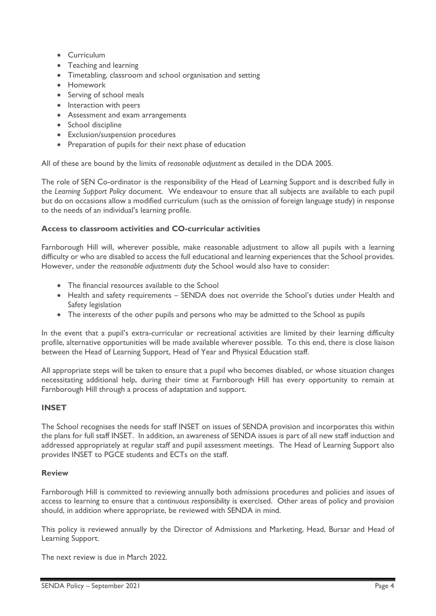- Curriculum
- Teaching and learning
- Timetabling, classroom and school organisation and setting
- Homework
- Serving of school meals
- Interaction with peers
- Assessment and exam arrangements
- School discipline
- Exclusion/suspension procedures
- Preparation of pupils for their next phase of education

All of these are bound by the limits of *reasonable adjustment* as detailed in the DDA 2005.

The role of SEN Co-ordinator is the responsibility of the Head of Learning Support and is described fully in the *Learning Support Policy* document. We endeavour to ensure that all subjects are available to each pupil but do on occasions allow a modified curriculum (such as the omission of foreign language study) in response to the needs of an individual's learning profile.

# **Access to classroom activities and CO-curricular activities**

Farnborough Hill will, wherever possible, make reasonable adjustment to allow all pupils with a learning difficulty or who are disabled to access the full educational and learning experiences that the School provides. However, under the *reasonable adjustments duty* the School would also have to consider:

- The financial resources available to the School
- Health and safety requirements SENDA does not override the School's duties under Health and Safety legislation
- The interests of the other pupils and persons who may be admitted to the School as pupils

In the event that a pupil's extra-curricular or recreational activities are limited by their learning difficulty profile, alternative opportunities will be made available wherever possible. To this end, there is close liaison between the Head of Learning Support, Head of Year and Physical Education staff.

All appropriate steps will be taken to ensure that a pupil who becomes disabled, or whose situation changes necessitating additional help, during their time at Farnborough Hill has every opportunity to remain at Farnborough Hill through a process of adaptation and support.

# **INSET**

The School recognises the needs for staff INSET on issues of SENDA provision and incorporates this within the plans for full staff INSET. In addition, an awareness of SENDA issues is part of all new staff induction and addressed appropriately at regular staff and pupil assessment meetings. The Head of Learning Support also provides INSET to PGCE students and ECTs on the staff.

# **Review**

Farnborough Hill is committed to reviewing annually both admissions procedures and policies and issues of access to learning to ensure that a *continuous responsibility* is exercised. Other areas of policy and provision should, in addition where appropriate, be reviewed with SENDA in mind.

This policy is reviewed annually by the Director of Admissions and Marketing, Head, Bursar and Head of Learning Support.

The next review is due in March 2022.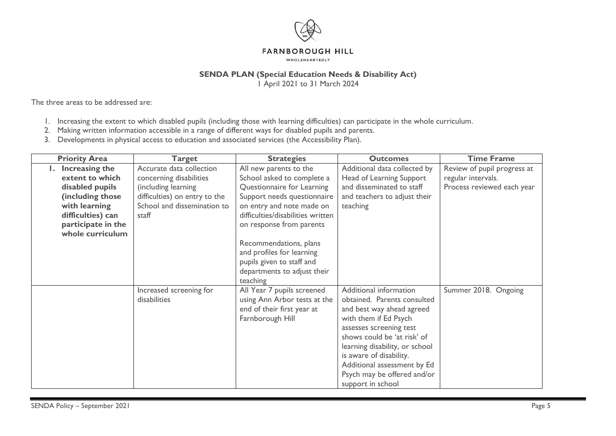

#### **FARNBOROUGH HILL**

WHOLEHEARTEDLY

# **SENDA PLAN (Special Education Needs & Disability Act)**

1 April 2021 to 31 March 2024

The three areas to be addressed are:

- 1. Increasing the extent to which disabled pupils (including those with learning difficulties) can participate in the whole curriculum.
- 2. Making written information accessible in a range of different ways for disabled pupils and parents.
- 3. Developments in physical access to education and associated services (the Accessibility Plan).

| <b>Priority Area</b> | <b>Target</b>                 | <b>Strategies</b>                 | <b>Outcomes</b>                | <b>Time Frame</b>           |
|----------------------|-------------------------------|-----------------------------------|--------------------------------|-----------------------------|
| Increasing the       | Accurate data collection      | All new parents to the            | Additional data collected by   | Review of pupil progress at |
| extent to which      | concerning disabilities       | School asked to complete a        | Head of Learning Support       | regular intervals.          |
| disabled pupils      | (including learning           | Questionnaire for Learning        | and disseminated to staff      | Process reviewed each year  |
| (including those     | difficulties) on entry to the | Support needs questionnaire       | and teachers to adjust their   |                             |
| with learning        | School and dissemination to   | on entry and note made on         | teaching                       |                             |
| difficulties) can    | staff                         | difficulties/disabilities written |                                |                             |
| participate in the   |                               | on response from parents          |                                |                             |
| whole curriculum     |                               |                                   |                                |                             |
|                      |                               | Recommendations, plans            |                                |                             |
|                      |                               | and profiles for learning         |                                |                             |
|                      |                               | pupils given to staff and         |                                |                             |
|                      |                               | departments to adjust their       |                                |                             |
|                      |                               | teaching                          |                                |                             |
|                      | Increased screening for       | All Year 7 pupils screened        | Additional information         | Summer 2018. Ongoing        |
|                      | disabilities                  | using Ann Arbor tests at the      | obtained. Parents consulted    |                             |
|                      |                               | end of their first year at        | and best way ahead agreed      |                             |
|                      |                               | Farnborough Hill                  | with them if Ed Psych          |                             |
|                      |                               |                                   | assesses screening test        |                             |
|                      |                               |                                   | shows could be 'at risk' of    |                             |
|                      |                               |                                   | learning disability, or school |                             |
|                      |                               |                                   | is aware of disability.        |                             |
|                      |                               |                                   | Additional assessment by Ed    |                             |
|                      |                               |                                   | Psych may be offered and/or    |                             |
|                      |                               |                                   | support in school              |                             |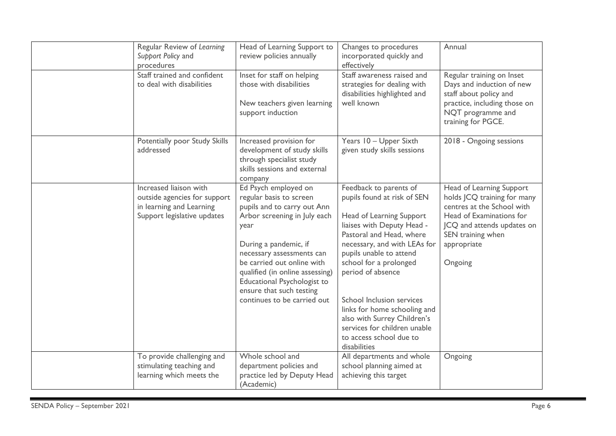| Regular Review of Learning<br>Support Policy and<br>procedures                                                    | Head of Learning Support to<br>review policies annually                                                                                                                                                                                                                                                                                 | Changes to procedures<br>incorporated quickly and<br>effectively                                                                                                                                                                                                                                                                                                                                                             | Annual                                                                                                                                                                                         |
|-------------------------------------------------------------------------------------------------------------------|-----------------------------------------------------------------------------------------------------------------------------------------------------------------------------------------------------------------------------------------------------------------------------------------------------------------------------------------|------------------------------------------------------------------------------------------------------------------------------------------------------------------------------------------------------------------------------------------------------------------------------------------------------------------------------------------------------------------------------------------------------------------------------|------------------------------------------------------------------------------------------------------------------------------------------------------------------------------------------------|
| Staff trained and confident<br>to deal with disabilities                                                          | Inset for staff on helping<br>those with disabilities<br>New teachers given learning<br>support induction                                                                                                                                                                                                                               | Staff awareness raised and<br>strategies for dealing with<br>disabilities highlighted and<br>well known                                                                                                                                                                                                                                                                                                                      | Regular training on Inset<br>Days and induction of new<br>staff about policy and<br>practice, including those on<br>NQT programme and<br>training for PGCE.                                    |
| Potentially poor Study Skills<br>addressed                                                                        | Increased provision for<br>development of study skills<br>through specialist study<br>skills sessions and external<br>company                                                                                                                                                                                                           | Years 10 - Upper Sixth<br>given study skills sessions                                                                                                                                                                                                                                                                                                                                                                        | 2018 - Ongoing sessions                                                                                                                                                                        |
| Increased liaison with<br>outside agencies for support<br>in learning and Learning<br>Support legislative updates | Ed Psych employed on<br>regular basis to screen<br>pupils and to carry out Ann<br>Arbor screening in July each<br>year<br>During a pandemic, if<br>necessary assessments can<br>be carried out online with<br>qualified (in online assessing)<br>Educational Psychologist to<br>ensure that such testing<br>continues to be carried out | Feedback to parents of<br>pupils found at risk of SEN<br>Head of Learning Support<br>liaises with Deputy Head -<br>Pastoral and Head, where<br>necessary, and with LEAs for<br>pupils unable to attend<br>school for a prolonged<br>period of absence<br>School Inclusion services<br>links for home schooling and<br>also with Surrey Children's<br>services for children unable<br>to access school due to<br>disabilities | Head of Learning Support<br>holds JCQ training for many<br>centres at the School with<br>Head of Examinations for<br>JCQ and attends updates on<br>SEN training when<br>appropriate<br>Ongoing |
| To provide challenging and<br>stimulating teaching and<br>learning which meets the                                | Whole school and<br>department policies and<br>practice led by Deputy Head<br>(Academic)                                                                                                                                                                                                                                                | All departments and whole<br>school planning aimed at<br>achieving this target                                                                                                                                                                                                                                                                                                                                               | Ongoing                                                                                                                                                                                        |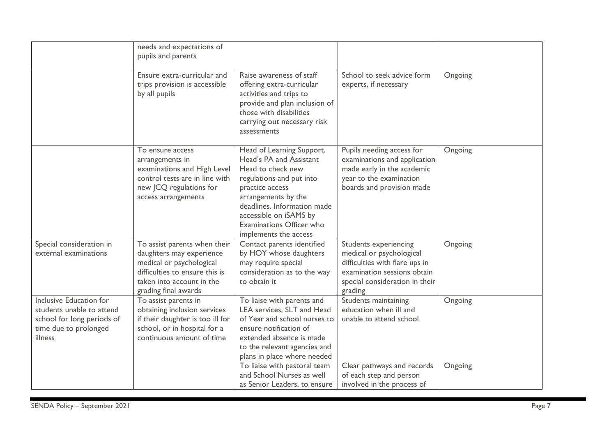|                                                                                                                        | needs and expectations of<br>pupils and parents                                                                                                                             |                                                                                                                                                                                                                                                                                                            |                                                                                                                                                                  |                    |
|------------------------------------------------------------------------------------------------------------------------|-----------------------------------------------------------------------------------------------------------------------------------------------------------------------------|------------------------------------------------------------------------------------------------------------------------------------------------------------------------------------------------------------------------------------------------------------------------------------------------------------|------------------------------------------------------------------------------------------------------------------------------------------------------------------|--------------------|
|                                                                                                                        | Ensure extra-curricular and<br>trips provision is accessible<br>by all pupils                                                                                               | Raise awareness of staff<br>offering extra-curricular<br>activities and trips to<br>provide and plan inclusion of<br>those with disabilities<br>carrying out necessary risk<br>assessments                                                                                                                 | School to seek advice form<br>experts, if necessary                                                                                                              | Ongoing            |
|                                                                                                                        | To ensure access<br>arrangements in<br>examinations and High Level<br>control tests are in line with<br>new JCQ regulations for<br>access arrangements                      | Head of Learning Support,<br>Head's PA and Assistant<br>Head to check new<br>regulations and put into<br>practice access<br>arrangements by the<br>deadlines. Information made<br>accessible on iSAMS by<br><b>Examinations Officer who</b><br>implements the access                                       | Pupils needing access for<br>examinations and application<br>made early in the academic<br>year to the examination<br>boards and provision made                  | Ongoing            |
| Special consideration in<br>external examinations                                                                      | To assist parents when their<br>daughters may experience<br>medical or psychological<br>difficulties to ensure this is<br>taken into account in the<br>grading final awards | Contact parents identified<br>by HOY whose daughters<br>may require special<br>consideration as to the way<br>to obtain it                                                                                                                                                                                 | Students experiencing<br>medical or psychological<br>difficulties with flare ups in<br>examination sessions obtain<br>special consideration in their<br>grading  | Ongoing            |
| Inclusive Education for<br>students unable to attend<br>school for long periods of<br>time due to prolonged<br>illness | To assist parents in<br>obtaining inclusion services<br>if their daughter is too ill for<br>school, or in hospital for a<br>continuous amount of time                       | To liaise with parents and<br>LEA services, SLT and Head<br>of Year and school nurses to<br>ensure notification of<br>extended absence is made<br>to the relevant agencies and<br>plans in place where needed<br>To liaise with pastoral team<br>and School Nurses as well<br>as Senior Leaders, to ensure | Students maintaining<br>education when ill and<br>unable to attend school<br>Clear pathways and records<br>of each step and person<br>involved in the process of | Ongoing<br>Ongoing |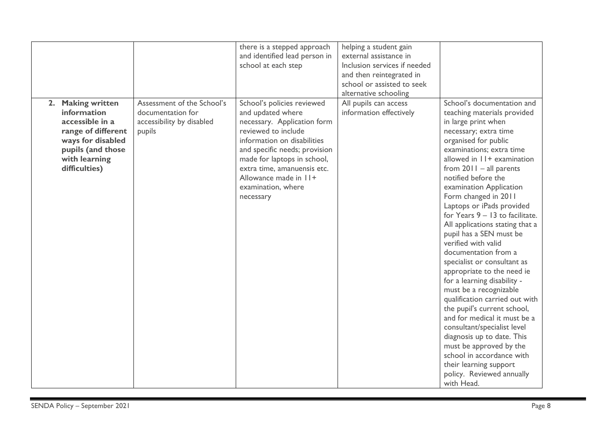|                                                                                                                                                       |                                                                                        | there is a stepped approach<br>and identified lead person in<br>school at each step                                                                                                                                                                                                             | helping a student gain<br>external assistance in<br>Inclusion services if needed<br>and then reintegrated in<br>school or assisted to seek |                                                                                                                                                                                                                                                                                                                                                                                                                                                                                                                                                                                                                                                                                                                                                                                                                                                                                                    |
|-------------------------------------------------------------------------------------------------------------------------------------------------------|----------------------------------------------------------------------------------------|-------------------------------------------------------------------------------------------------------------------------------------------------------------------------------------------------------------------------------------------------------------------------------------------------|--------------------------------------------------------------------------------------------------------------------------------------------|----------------------------------------------------------------------------------------------------------------------------------------------------------------------------------------------------------------------------------------------------------------------------------------------------------------------------------------------------------------------------------------------------------------------------------------------------------------------------------------------------------------------------------------------------------------------------------------------------------------------------------------------------------------------------------------------------------------------------------------------------------------------------------------------------------------------------------------------------------------------------------------------------|
| 2. Making written<br>information<br>accessible in a<br>range of different<br>ways for disabled<br>pupils (and those<br>with learning<br>difficulties) | Assessment of the School's<br>documentation for<br>accessibility by disabled<br>pupils | School's policies reviewed<br>and updated where<br>necessary. Application form<br>reviewed to include<br>information on disabilities<br>and specific needs; provision<br>made for laptops in school,<br>extra time, amanuensis etc.<br>Allowance made in 11+<br>examination, where<br>necessary | alternative schooling<br>All pupils can access<br>information effectively                                                                  | School's documentation and<br>teaching materials provided<br>in large print when<br>necessary; extra time<br>organised for public<br>examinations; extra time<br>allowed in 11+ examination<br>from $2011 - all parents$<br>notified before the<br>examination Application<br>Form changed in 2011<br>Laptops or iPads provided<br>for Years $9 - 13$ to facilitate.<br>All applications stating that a<br>pupil has a SEN must be<br>verified with valid<br>documentation from a<br>specialist or consultant as<br>appropriate to the need ie<br>for a learning disability -<br>must be a recognizable<br>qualification carried out with<br>the pupil's current school,<br>and for medical it must be a<br>consultant/specialist level<br>diagnosis up to date. This<br>must be approved by the<br>school in accordance with<br>their learning support<br>policy. Reviewed annually<br>with Head. |